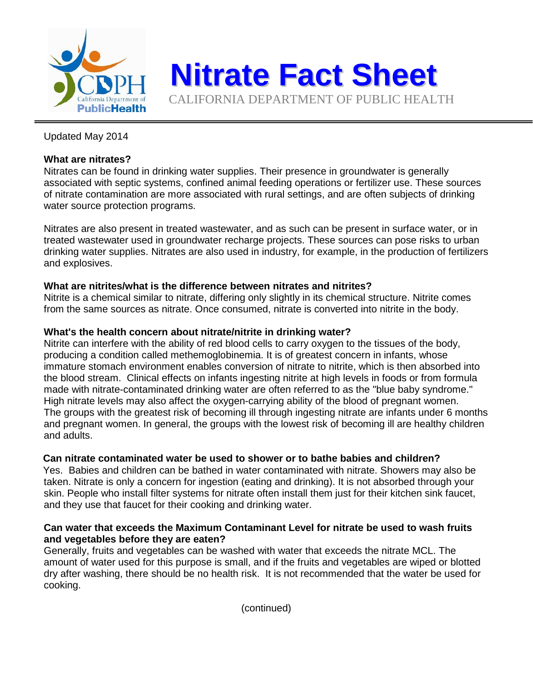

# Updated May 2014

## **What are nitrates?**

Nitrates can be found in drinking water supplies. Their presence in groundwater is generally associated with septic systems, confined animal feeding operations or fertilizer use. These sources of nitrate contamination are more associated with rural settings, and are often subjects of drinking water source protection programs.

**Nitrate Fact Sheet**

CALIFORNIA DEPARTMENT OF PUBLIC HEALTH

Nitrates are also present in treated wastewater, and as such can be present in surface water, or in treated wastewater used in groundwater recharge projects. These sources can pose risks to urban drinking water supplies. Nitrates are also used in industry, for example, in the production of fertilizers and explosives.

#### **What are nitrites/what is the difference between nitrates and nitrites?**

Nitrite is a chemical similar to nitrate, differing only slightly in its chemical structure. Nitrite comes from the same sources as nitrate. Once consumed, nitrate is converted into nitrite in the body.

#### **What's the health concern about nitrate/nitrite in drinking water?**

Nitrite can interfere with the ability of red blood cells to carry oxygen to the tissues of the body, producing a condition called methemoglobinemia. It is of greatest concern in infants, whose immature stomach environment enables conversion of nitrate to nitrite, which is then absorbed into the blood stream. Clinical effects on infants ingesting nitrite at high levels in foods or from formula made with nitrate-contaminated drinking water are often referred to as the "blue baby syndrome." High nitrate levels may also affect the oxygen-carrying ability of the blood of pregnant women. The groups with the greatest risk of becoming ill through ingesting nitrate are infants under 6 months and pregnant women. In general, the groups with the lowest risk of becoming ill are healthy children and adults.

### **Can nitrate contaminated water be used to shower or to bathe babies and children?**

Yes. Babies and children can be bathed in water contaminated with nitrate. Showers may also be taken. Nitrate is only a concern for ingestion (eating and drinking). It is not absorbed through your skin. People who install filter systems for nitrate often install them just for their kitchen sink faucet, and they use that faucet for their cooking and drinking water.

#### **Can water that exceeds the Maximum Contaminant Level for nitrate be used to wash fruits and vegetables before they are eaten?**

Generally, fruits and vegetables can be washed with water that exceeds the nitrate MCL. The amount of water used for this purpose is small, and if the fruits and vegetables are wiped or blotted dry after washing, there should be no health risk. It is not recommended that the water be used for cooking.

(continued)